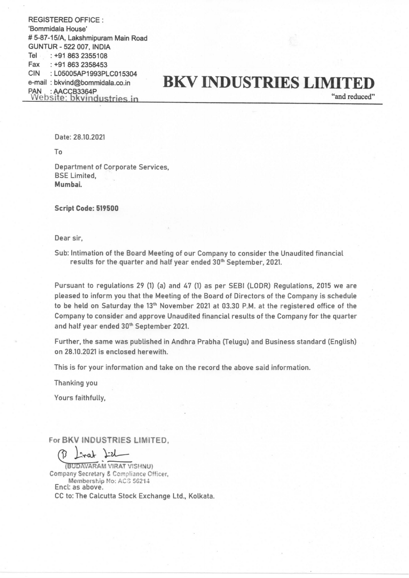REGISTERED OFFICE : 'Bommidala House' # 5-87-15/A, Lakshmipuram Main Road GUNTUR - 522 007, INDIA Tel: +91 863 2355108 Fax :+91 863 2358453 CIN : LO5005AP1993PLC015304 e-mail : bkvind@bommidala.co.in PAN | : AACCB3364P Website: bkvindustries in

## **BKV INDUSTRIES LIMITED**

"and reduced"

Date: 28.10.2021

To

Department of Corporate Services, BSE Limited, Mumbai.

Script Code: 519500

Dear sir,

Sub: Intimation of the Board Meeting of our Company to consider the Unaudited financial results for the quarter and half year ended 30" September, 2021.

Pursuant to regulations 29 (1) (a) and 47 (1) as per SEBI (LODR) Regulations, 2015 we are pleased to inform you that the Meeting of the Board of Directors of the Company is schedule to be held on Saturday the 13<sup>th</sup> November 2021 at 03.30 P.M. at the registered office of the Company to consider and approve Unaudited financial results of the Company for the quarter and half year ended 30" September 2021.

Further, the same was published in Andhra Prabha (Telugu) and Business standard (English) on 28.10.2021 is enclosed herewith.

This is for your information and take on the record the above said information.

Thanking you

Yours faithfully,

For BKV INDUSTRIES LIMITED,<br>  $\beta$   $\downarrow$  read  $\downarrow$   $\nu$ 

(BUDAVARAM VIRAT VISHNU) Company Secretary & Compliance Officer, Membership No: ACS 56214 Encl: as above. CC to: The Calcutta Stock Exchange Ltd., Kolkata.